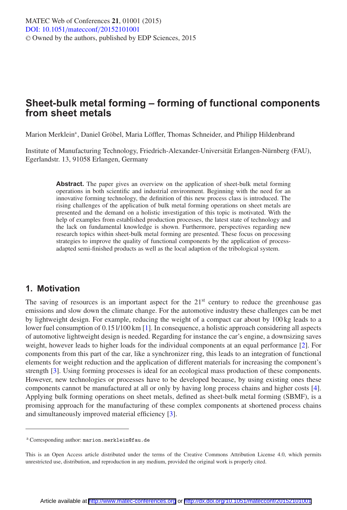# **Sheet-bulk metal forming – forming of functional components from sheet metals**

Marion Merklein<sup>a</sup>, Daniel Gröbel, Maria Löffler, Thomas Schneider, and Philipp Hildenbrand

Institute of Manufacturing Technology, Friedrich-Alexander-Universität Erlangen-Nürnberg (FAU), Egerlandstr. 13, 91058 Erlangen, Germany

> **Abstract.** The paper gives an overview on the application of sheet-bulk metal forming operations in both scientific and industrial environment. Beginning with the need for an innovative forming technology, the definition of this new process class is introduced. The rising challenges of the application of bulk metal forming operations on sheet metals are presented and the demand on a holistic investigation of this topic is motivated. With the help of examples from established production processes, the latest state of technology and the lack on fundamental knowledge is shown. Furthermore, perspectives regarding new research topics within sheet-bulk metal forming are presented. These focus on processing strategies to improve the quality of functional components by the application of processadapted semi-finished products as well as the local adaption of the tribological system.

## **1. Motivation**

The saving of resources is an important aspect for the  $21<sup>st</sup>$  century to reduce the greenhouse gas emissions and slow down the climate change. For the automotive industry these challenges can be met by lightweight design. For example, reducing the weight of a compact car about by 100 kg leads to a lower fuel consumption of 0.15 l/100 km [\[1](#page-10-0)]. In consequence, a holistic approach considering all aspects of automotive lightweight design is needed. Regarding for instance the car's engine, a downsizing saves weight, however leads to higher loads for the individual components at an equal performance [\[2](#page-10-1)]. For components from this part of the car, like a synchronizer ring, this leads to an integration of functional elements for weight reduction and the application of different materials for increasing the component's strength [\[3\]](#page-10-2). Using forming processes is ideal for an ecological mass production of these components. However, new technologies or processes have to be developed because, by using existing ones these components cannot be manufactured at all or only by having long process chains and higher costs [\[4\]](#page-10-3). Applying bulk forming operations on sheet metals, defined as sheet-bulk metal forming (SBMF), is a promising approach for the manufacturing of these complex components at shortened process chains and simultaneously improved material efficiency [\[3](#page-10-2)].

<sup>a</sup> Corresponding author: marion.merklein@fau.de

This is an Open Access article distributed under the terms of the Creative Commons Attribution License 4.0, which permits unrestricted use, distribution, and reproduction in any medium, provided the original work is properly cited.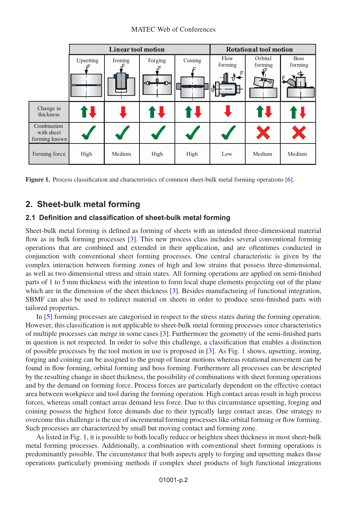<span id="page-1-0"></span>

|                                            | <b>Linear tool motion</b> |         |             |         | <b>Rotational tool motion</b> |                    |                        |
|--------------------------------------------|---------------------------|---------|-------------|---------|-------------------------------|--------------------|------------------------|
|                                            | Upsetting                 | Ironing | Forging     | Coining | Flow<br>forming               | Orbital<br>forming | <b>Boss</b><br>forming |
| Change in<br>thickness                     | <b>fl</b>                 |         | $\mathbf t$ | 1 I     |                               | <b>fl</b>          |                        |
| Combination<br>with sheet<br>forming known |                           |         |             |         |                               |                    |                        |
| Forming force                              | High                      | Medium  | High        | High    | Low                           | Medium             | Medium                 |

**Figure 1.** Process classification and characteristics of common sheet-bulk metal forming operations [\[6\]](#page-10-4).

# **2. Sheet-bulk metal forming**

## **2.1 Definition and classification of sheet-bulk metal forming**

Sheet-bulk metal forming is defined as forming of sheets with an intended three-dimensional material flow as in bulk forming processes [\[3\]](#page-10-2). This new process class includes several conventional forming operations that are combined and extended in their application, and are oftentimes conducted in conjunction with conventional sheet forming processes. One central characteristic is given by the complex interaction between forming zones of high and low strains that possess three-dimensional, as well as two-dimensional stress and strain states. All forming operations are applied on semi-finished parts of 1 to 5 mm thickness with the intention to form local shape elements projecting out of the plane which are in the dimension of the sheet thickness [\[3](#page-10-2)]. Besides manufacturing of functional integration, SBMF can also be used to redirect material on sheets in order to produce semi-finished parts with tailored properties.

In [\[5\]](#page-10-5) forming processes are categorised in respect to the stress states during the forming operation. However, this classification is not applicable to sheet-bulk metal forming processes since characteristics of multiple processes can merge in some cases [\[3\]](#page-10-2). Furthermore the geometry of the semi-finished parts in question is not respected. In order to solve this challenge, a classification that enables a distinction of possible processes by the tool motion in use is proposed in [\[3\]](#page-10-2). As Fig. [1](#page-1-0) shows, upsetting, ironing, forging and coining can be assigned to the group of linear motions whereas rotational movement can be found in flow forming, orbital forming and boss forming. Furthermore all processes can be descripted by the resulting change in sheet thickness, the possibility of combinations with sheet forming operations and by the demand on forming force. Process forces are particularly dependent on the effective contact area between workpiece and tool during the forming operation. High contact areas result in high process forces, whereas small contact areas demand less force. Due to this circumstance upsetting, forging and coining possess the highest force demands due to their typically large contact areas. One strategy to overcome this challenge is the use of incremental forming processes like orbital forming or flow forming. Such processes are characterized by small but moving contact and forming zone.

As listed in Fig. [1,](#page-1-0) it is possible to both locally reduce or heighten sheet thickness in most sheet-bulk metal forming processes. Additionally, a combination with conventional sheet forming operations is predominantly possible. The circumstance that both aspects apply to forging and upsetting makes those operations particularly promising methods if complex sheet products of high functional integrations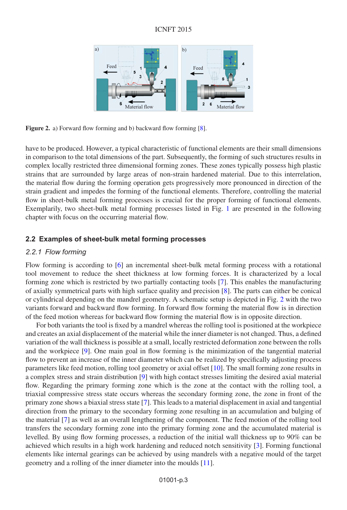## ICNFT 2015



<span id="page-2-0"></span>**Figure 2.** a) Forward flow forming and b) backward flow forming [\[8](#page-10-6)].

have to be produced. However, a typical characteristic of functional elements are their small dimensions in comparison to the total dimensions of the part. Subsequently, the forming of such structures results in complex locally restricted three dimensional forming zones. These zones typically possess high plastic strains that are surrounded by large areas of non-strain hardened material. Due to this interrelation, the material flow during the forming operation gets progressively more pronounced in direction of the strain gradient and impedes the forming of the functional elements. Therefore, controlling the material flow in sheet-bulk metal forming processes is crucial for the proper forming of functional elements. Exemplarily, two sheet-bulk metal forming processes listed in Fig. [1](#page-1-0) are presented in the following chapter with focus on the occurring material flow.

### **2.2 Examples of sheet-bulk metal forming processes**

### *2.2.1 Flow forming*

Flow forming is according to [\[6](#page-10-4)] an incremental sheet-bulk metal forming process with a rotational tool movement to reduce the sheet thickness at low forming forces. It is characterized by a local forming zone which is restricted by two partially contacting tools [\[7](#page-10-7)]. This enables the manufacturing of axially symmetrical parts with high surface quality and precision [\[8\]](#page-10-6). The parts can either be conical or cylindrical depending on the mandrel geometry. A schematic setup is depicted in Fig. [2](#page-2-0) with the two variants forward and backward flow forming. In forward flow forming the material flow is in direction of the feed motion whereas for backward flow forming the material flow is in opposite direction.

For both variants the tool is fixed by a mandrel whereas the rolling tool is positioned at the workpiece and creates an axial displacement of the material while the inner diameter is not changed. Thus, a defined variation of the wall thickness is possible at a small, locally restricted deformation zone between the rolls and the workpiece [\[9\]](#page-10-8). One main goal in flow forming is the minimization of the tangential material flow to prevent an increase of the inner diameter which can be realized by specifically adjusting process parameters like feed motion, rolling tool geometry or axial offset [\[10](#page-10-9)]. The small forming zone results in a complex stress and strain distribution [\[9\]](#page-10-8) with high contact stresses limiting the desired axial material flow. Regarding the primary forming zone which is the zone at the contact with the rolling tool, a triaxial compressive stress state occurs whereas the secondary forming zone, the zone in front of the primary zone shows a biaxial stress state [\[7\]](#page-10-7). This leads to a material displacement in axial and tangential direction from the primary to the secondary forming zone resulting in an accumulation and bulging of the material [\[7\]](#page-10-7) as well as an overall lengthening of the component. The feed motion of the rolling tool transfers the secondary forming zone into the primary forming zone and the accumulated material is levelled. By using flow forming processes, a reduction of the initial wall thickness up to 90% can be achieved which results in a high work hardening and reduced notch sensitivity [\[3\]](#page-10-2). Forming functional elements like internal gearings can be achieved by using mandrels with a negative mould of the target geometry and a rolling of the inner diameter into the moulds [\[11](#page-10-10)].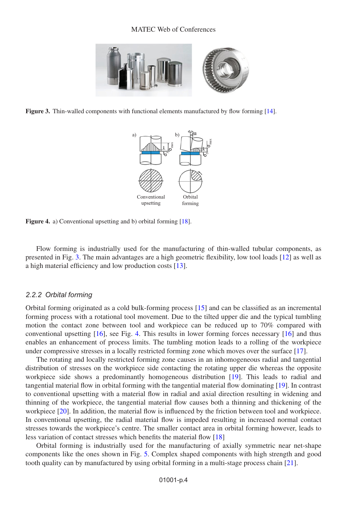<span id="page-3-1"></span><span id="page-3-0"></span>

**Figure 3.** Thin-walled components with functional elements manufactured by flow forming [\[14](#page-11-0)].



**Figure 4.** a) Conventional upsetting and b) orbital forming [\[18](#page-11-1)].

Flow forming is industrially used for the manufacturing of thin-walled tubular components, as presented in Fig. [3.](#page-3-0) The main advantages are a high geometric flexibility, low tool loads [\[12\]](#page-11-2) as well as a high material efficiency and low production costs [\[13\]](#page-11-3).

#### *2.2.2 Orbital forming*

Orbital forming originated as a cold bulk-forming process [\[15](#page-11-4)] and can be classified as an incremental forming process with a rotational tool movement. Due to the tilted upper die and the typical tumbling motion the contact zone between tool and workpiece can be reduced up to 70% compared with conventional upsetting [\[16](#page-11-5)], see Fig. [4.](#page-3-1) This results in lower forming forces necessary [\[16](#page-11-5)] and thus enables an enhancement of process limits. The tumbling motion leads to a rolling of the workpiece under compressive stresses in a locally restricted forming zone which moves over the surface [\[17\]](#page-11-6).

The rotating and locally restricted forming zone causes in an inhomogeneous radial and tangential distribution of stresses on the workpiece side contacting the rotating upper die whereas the opposite workpiece side shows a predominantly homogeneous distribution [\[19](#page-11-7)]. This leads to radial and tangential material flow in orbital forming with the tangential material flow dominating [\[19](#page-11-7)]. In contrast to conventional upsetting with a material flow in radial and axial direction resulting in widening and thinning of the workpiece, the tangential material flow causes both a thinning and thickening of the workpiece [\[20\]](#page-11-8). In addition, the material flow is influenced by the friction between tool and workpiece. In conventional upsetting, the radial material flow is impeded resulting in increased normal contact stresses towards the workpiece's centre. The smaller contact area in orbital forming however, leads to less variation of contact stresses which benefits the material flow [\[18\]](#page-11-1)

Orbital forming is industrially used for the manufacturing of axially symmetric near net-shape components like the ones shown in Fig. [5.](#page-4-0) Complex shaped components with high strength and good tooth quality can by manufactured by using orbital forming in a multi-stage process chain [\[21](#page-11-9)].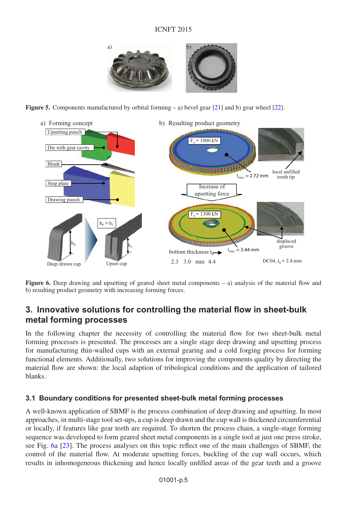<span id="page-4-0"></span>

**Figure 5.** Components manufactured by orbital forming – a) bevel gear [\[21](#page-11-9)] and b) gear wheel [\[22](#page-11-10)].

<span id="page-4-1"></span>

**Figure 6.** Deep drawing and upsetting of geared sheet metal components – a) analysis of the material flow and b) resulting product geometry with increasing forming forces.

## **3. Innovative solutions for controlling the material flow in sheet-bulk metal forming processes**

In the following chapter the necessity of controlling the material flow for two sheet-bulk metal forming processes is presented. The processes are a single stage deep drawing and upsetting process for manufacturing thin-walled cups with an external gearing and a cold forging process for forming functional elements. Additionally, two solutions for improving the components quality by directing the material flow are shown: the local adaption of tribological conditions and the application of tailored blanks.

## **3.1 Boundary conditions for presented sheet-bulk metal forming processes**

A well-known application of SBMF is the process combination of deep drawing and upsetting. In most approaches, in multi-stage tool set-ups, a cup is deep drawn and the cup wall is thickened circumferential or locally, if features like gear teeth are required. To shorten the process chain, a single-stage forming sequence was developed to form geared sheet metal components in a single tool at just one press stroke, see Fig. [6a](#page-4-1) [\[23\]](#page-11-11). The process analyses on this topic reflect one of the main challenges of SBMF, the control of the material flow. At moderate upsetting forces, buckling of the cup wall occurs, which results in inhomogeneous thickening and hence locally unfilled areas of the gear teeth and a groove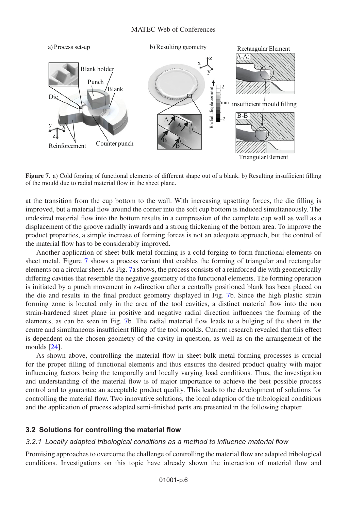<span id="page-5-0"></span>

**Figure 7.** a) Cold forging of functional elements of different shape out of a blank. b) Resulting insufficient filling of the mould due to radial material flow in the sheet plane.

at the transition from the cup bottom to the wall. With increasing upsetting forces, the die filling is improved, but a material flow around the corner into the soft cup bottom is induced simultaneously. The undesired material flow into the bottom results in a compression of the complete cup wall as well as a displacement of the groove radially inwards and a strong thickening of the bottom area. To improve the product properties, a simple increase of forming forces is not an adequate approach, but the control of the material flow has to be considerably improved.

Another application of sheet-bulk metal forming is a cold forging to form functional elements on sheet metal. Figure [7](#page-5-0) shows a process variant that enables the forming of triangular and rectangular elements on a circular sheet. As Fig. [7a](#page-5-0) shows, the process consists of a reinforced die with geometrically differing cavities that resemble the negative geometry of the functional elements. The forming operation is initiated by a punch movement in z-direction after a centrally positioned blank has been placed on the die and results in the final product geometry displayed in Fig. [7b](#page-5-0). Since the high plastic strain forming zone is located only in the area of the tool cavities, a distinct material flow into the non strain-hardened sheet plane in positive and negative radial direction influences the forming of the elements, as can be seen in Fig. [7b](#page-5-0). The radial material flow leads to a bulging of the sheet in the centre and simultaneous insufficient filling of the tool moulds. Current research revealed that this effect is dependent on the chosen geometry of the cavity in question, as well as on the arrangement of the moulds [\[24\]](#page-11-12).

As shown above, controlling the material flow in sheet-bulk metal forming processes is crucial for the proper filling of functional elements and thus ensures the desired product quality with major influencing factors being the temporally and locally varying load conditions. Thus, the investigation and understanding of the material flow is of major importance to achieve the best possible process control and to guarantee an acceptable product quality. This leads to the development of solutions for controlling the material flow. Two innovative solutions, the local adaption of the tribological conditions and the application of process adapted semi-finished parts are presented in the following chapter.

### **3.2 Solutions for controlling the material flow**

### *3.2.1 Locally adapted tribological conditions as a method to influence material flow*

Promising approaches to overcome the challenge of controlling the material flow are adapted tribological conditions. Investigations on this topic have already shown the interaction of material flow and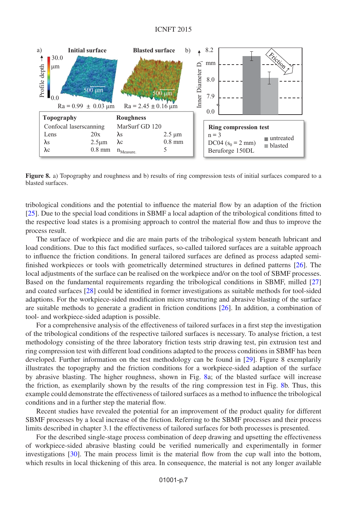<span id="page-6-0"></span>

**Figure 8.** a) Topography and roughness and b) results of ring compression tests of initial surfaces compared to a blasted surfaces.

tribological conditions and the potential to influence the material flow by an adaption of the friction [\[25\]](#page-11-13). Due to the special load conditions in SBMF a local adaption of the tribological conditions fitted to the respective load states is a promising approach to control the material flow and thus to improve the process result.

The surface of workpiece and die are main parts of the tribological system beneath lubricant and load conditions. Due to this fact modified surfaces, so-called tailored surfaces are a suitable approach to influence the friction conditions. In general tailored surfaces are defined as process adapted semifinished workpieces or tools with geometrically determined structures in defined patterns [\[26](#page-11-14)]. The local adjustments of the surface can be realised on the workpiece and/or on the tool of SBMF processes. Based on the fundamental requirements regarding the tribological conditions in SBMF, milled [\[27](#page-11-15)] and coated surfaces [\[28\]](#page-11-16) could be identified in former investigations as suitable methods for tool-sided adaptions. For the workpiece-sided modification micro structuring and abrasive blasting of the surface are suitable methods to generate a gradient in friction conditions [\[26](#page-11-14)]. In addition, a combination of tool- and workpiece-sided adaption is possible.

For a comprehensive analysis of the effectiveness of tailored surfaces in a first step the investigation of the tribological conditions of the respective tailored surfaces is necessary. To analyse friction, a test methodology consisting of the three laboratory friction tests strip drawing test, pin extrusion test and ring compression test with different load conditions adapted to the process conditions in SBMF has been developed. Further information on the test methodology can be found in [\[29](#page-11-17)]. Figure 8 exemplarily illustrates the topography and the friction conditions for a workpiece-sided adaption of the surface by abrasive blasting. The higher roughness, shown in Fig. [8a](#page-6-0); of the blasted surface will increase the friction, as exemplarily shown by the results of the ring compression test in Fig. [8b](#page-6-0). Thus, this example could demonstrate the effectiveness of tailored surfaces as a method to influence the tribological conditions and in a further step the material flow.

Recent studies have revealed the potential for an improvement of the product quality for different SBMF processes by a local increase of the friction. Referring to the SBMF processes and their process limits described in chapter 3.1 the effectiveness of tailored surfaces for both processes is presented.

For the described single-stage process combination of deep drawing and upsetting the effectiveness of workpiece-sided abrasive blasting could be verified numerically and experimentally in former investigations [\[30](#page-11-18)]. The main process limit is the material flow from the cup wall into the bottom, which results in local thickening of this area. In consequence, the material is not any longer available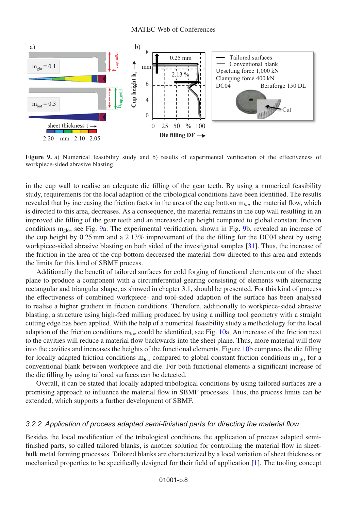<span id="page-7-0"></span>

**Figure 9.** a) Numerical feasibility study and b) results of experimental verification of the effectiveness of workpiece-sided abrasive blasting.

in the cup wall to realise an adequate die filling of the gear teeth. By using a numerical feasibility study, requirements for the local adaption of the tribological conditions have been identified. The results revealed that by increasing the friction factor in the area of the cup bottom  $m_{bot}$  the material flow, which is directed to this area, decreases. As a consequence, the material remains in the cup wall resulting in an improved die filling of the gear teeth and an increased cup height compared to global constant friction conditions  $m<sub>glo</sub>$ , see Fig. [9a](#page-7-0). The experimental verification, shown in Fig. [9b](#page-7-0), revealed an increase of the cup height by 0.25 mm and a 2.13% improvement of the die filling for the DC04 sheet by using workpiece-sided abrasive blasting on both sided of the investigated samples [\[31](#page-11-19)]. Thus, the increase of the friction in the area of the cup bottom decreased the material flow directed to this area and extends the limits for this kind of SBMF process.

Additionally the benefit of tailored surfaces for cold forging of functional elements out of the sheet plane to produce a component with a circumferential gearing consisting of elements with alternating rectangular and triangular shape, as showed in chapter 3.1, should be presented. For this kind of process the effectiveness of combined workpiece- and tool-sided adaption of the surface has been analysed to realise a higher gradient in friction conditions. Therefore, additionally to workpiece-sided abrasive blasting, a structure using high-feed milling produced by using a milling tool geometry with a straight cutting edge has been applied. With the help of a numerical feasibility study a methodology for the local adaption of the friction conditions  $m_{loc}$  could be identified, see Fig. [10a](#page-8-0). An increase of the friction next to the cavities will reduce a material flow backwards into the sheet plane. Thus, more material will flow into the cavities and increases the heights of the functional elements. Figure [10b](#page-8-0) compares the die filling for locally adapted friction conditions  $m_{loc}$  compared to global constant friction conditions  $m_{glo}$  for a conventional blank between workpiece and die. For both functional elements a significant increase of the die filling by using tailored surfaces can be detected.

Overall, it can be stated that locally adapted tribological conditions by using tailored surfaces are a promising approach to influence the material flow in SBMF processes. Thus, the process limits can be extended, which supports a further development of SBMF.

#### *3.2.2 Application of process adapted semi-finished parts for directing the material flow*

Besides the local modification of the tribological conditions the application of process adapted semifinished parts, so called tailored blanks, is another solution for controlling the material flow in sheetbulk metal forming processes. Tailored blanks are characterized by a local variation of sheet thickness or mechanical properties to be specifically designed for their field of application [\[1\]](#page-10-0). The tooling concept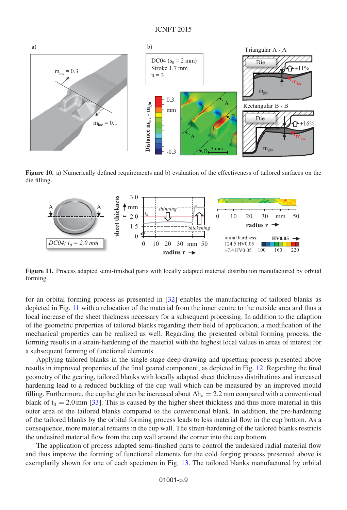#### ICNFT 2015

<span id="page-8-0"></span>

<span id="page-8-1"></span>**Figure 10.** a) Numerically defined requirements and b) evaluation of the effectiveness of tailored surfaces on the die filling.



**Figure 11.** Process adapted semi-finished parts with locally adapted material distribution manufactured by orbital forming.

for an orbital forming process as presented in [\[32\]](#page-11-20) enables the manufacturing of tailored blanks as depicted in Fig. [11](#page-8-1) with a relocation of the material from the inner centre to the outside area and thus a local increase of the sheet thickness necessary for a subsequent processing. In addition to the adaption of the geometric properties of tailored blanks regarding their field of application, a modification of the mechanical properties can be realized as well. Regarding the presented orbital forming process, the forming results in a strain-hardening of the material with the highest local values in areas of interest for a subsequent forming of functional elements.

Applying tailored blanks in the single stage deep drawing and upsetting process presented above results in improved properties of the final geared component, as depicted in Fig. [12.](#page-9-0) Regarding the final geometry of the gearing, tailored blanks with locally adapted sheet thickness distributions and increased hardening lead to a reduced buckling of the cup wall which can be measured by an improved mould filling. Furthermore, the cup height can be increased about  $\Delta h_c = 2.2$  mm compared with a conventional blank of  $t_0 = 2.0$  mm [\[33\]](#page-11-21). This is caused by the higher sheet thickness and thus more material in this outer area of the tailored blanks compared to the conventional blank. In addition, the pre-hardening of the tailored blanks by the orbital forming process leads to less material flow in the cup bottom. As a consequence, more material remains in the cup wall. The strain-hardening of the tailored blanks restricts the undesired material flow from the cup wall around the corner into the cup bottom.

The application of process adapted semi-finished parts to control the undesired radial material flow and thus improve the forming of functional elements for the cold forging process presented above is exemplarily shown for one of each specimen in Fig. [13.](#page-9-1) The tailored blanks manufactured by orbital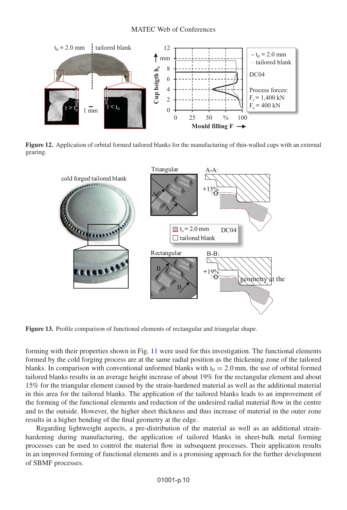<span id="page-9-0"></span>

<span id="page-9-1"></span>**Figure 12.** Application of orbital formed tailored blanks for the manufacturing of thin-walled cups with an external gearing.



**Figure 13.** Profile comparison of functional elements of rectangular and triangular shape.

forming with their properties shown in Fig. [11](#page-8-1) were used for this investigation. The functional elements formed by the cold forging process are at the same radial position as the thickening zone of the tailored blanks. In comparison with conventional unformed blanks with  $t_0 = 2.0$  mm, the use of orbital formed tailored blanks results in an average height increase of about 19% for the rectangular element and about 15% for the triangular element caused by the strain-hardened material as well as the additional material in this area for the tailored blanks. The application of the tailored blanks leads to an improvement of the forming of the functional elements and reduction of the undesired radial material flow in the centre and to the outside. However, the higher sheet thickness and thus increase of material in the outer zone results in a higher bending of the final geometry at the edge.

Regarding lightweight aspects, a pre-distribution of the material as well as an additional strainhardening during manufacturing, the application of tailored blanks in sheet-bulk metal forming processes can be used to control the material flow in subsequent processes. Their application results in an improved forming of functional elements and is a promising approach for the further development of SBMF processes.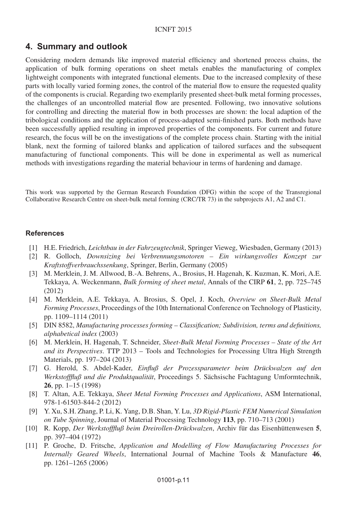## **4. Summary and outlook**

Considering modern demands like improved material efficiency and shortened process chains, the application of bulk forming operations on sheet metals enables the manufacturing of complex lightweight components with integrated functional elements. Due to the increased complexity of these parts with locally varied forming zones, the control of the material flow to ensure the requested quality of the components is crucial. Regarding two exemplarily presented sheet-bulk metal forming processes, the challenges of an uncontrolled material flow are presented. Following, two innovative solutions for controlling and directing the material flow in both processes are shown: the local adaption of the tribological conditions and the application of process-adapted semi-finished parts. Both methods have been successfully applied resulting in improved properties of the components. For current and future research, the focus will be on the investigations of the complete process chain. Starting with the initial blank, next the forming of tailored blanks and application of tailored surfaces and the subsequent manufacturing of functional components. This will be done in experimental as well as numerical methods with investigations regarding the material behaviour in terms of hardening and damage.

This work was supported by the German Research Foundation (DFG) within the scope of the Transregional Collaborative Research Centre on sheet-bulk metal forming (CRC/TR 73) in the subprojects A1, A2 and C1.

## <span id="page-10-0"></span>**References**

- [1] H.E. Friedrich, *Leichtbau in der Fahrzeugtechnik*, Springer Vieweg, Wiesbaden, Germany (2013)
- <span id="page-10-1"></span>[2] R. Golloch, *Downsizing bei Verbrennungsmotoren – Ein wirkungsvolles Konzept zur Kraftstoffverbrauchssenkung*, Springer, Berlin, Germany (2005)
- <span id="page-10-2"></span>[3] M. Merklein, J. M. Allwood, B.-A. Behrens, A., Brosius, H. Hagenah, K. Kuzman, K. Mori, A.E. Tekkaya, A. Weckenmann, *Bulk forming of sheet metal*, Annals of the CIRP **61**, 2, pp. 725–745 (2012)
- <span id="page-10-3"></span>[4] M. Merklein, A.E. Tekkaya, A. Brosius, S. Opel, J. Koch, *Overview on Sheet-Bulk Metal Forming Processes*, Proceedings of the 10th International Conference on Technology of Plasticity, pp. 1109–1114 (2011)
- <span id="page-10-5"></span>[5] DIN 8582, *Manufacturing processes forming – Classification; Subdivision, terms and definitions, alphabetical index* (2003)
- <span id="page-10-4"></span>[6] M. Merklein, H. Hagenah, T. Schneider, *Sheet-Bulk Metal Forming Processes – State of the Art and its Perspectives*. TTP 2013 – Tools and Technologies for Processing Ultra High Strength Materials, pp. 197–204 (2013)
- <span id="page-10-7"></span>[7] G. Herold, S. Abdel-Kader, *Einfluß der Prozessparameter beim Drückwalzen auf den Werkstofffluß und die Produktqualität*, Proceedings 5. Sächsische Fachtagung Umformtechnik, **26**, pp. 1–15 (1998)
- <span id="page-10-6"></span>[8] T. Altan, A.E. Tekkaya, *Sheet Metal Forming Processes and Applications*, ASM International, 978-1-61503-844-2 (2012)
- [9] Y. Xu, S.H. Zhang, P. Li, K. Yang, D.B. Shan, Y. Lu, *3D Rigid-Plastic FEM Numerical Simulation on Tube Spinning*, Journal of Material Processing Technology **113**, pp. 710–713 (2001)
- <span id="page-10-9"></span><span id="page-10-8"></span>[10] R. Kopp, *Der Werkstofffluß beim Dreirollen-Drückwalzen*, Archiv für das Eisenhüttenwesen **5**, pp. 397–404 (1972)
- <span id="page-10-10"></span>[11] P. Groche, D. Fritsche, *Application and Modelling of Flow Manufacturing Processes for Internally Geared Wheels*, International Journal of Machine Tools & Manufacture **46**, pp. 1261–1265 (2006)